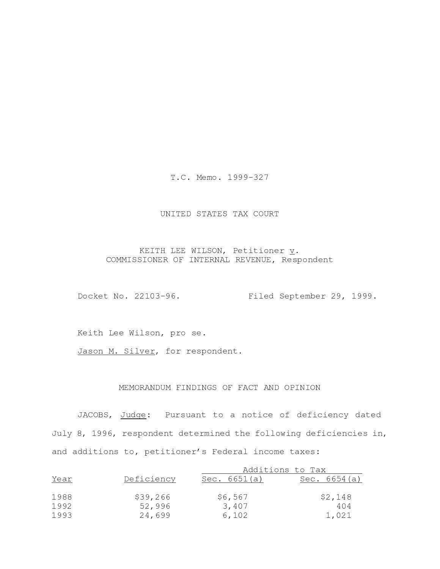T.C. Memo. 1999-327

# UNITED STATES TAX COURT

# KEITH LEE WILSON, Petitioner  $\underline{v}$ . COMMISSIONER OF INTERNAL REVENUE, Respondent

Docket No. 22103-96. Filed September 29, 1999.

Keith Lee Wilson, pro se.

Jason M. Silver, for respondent.

# MEMORANDUM FINDINGS OF FACT AND OPINION

JACOBS, Judge: Pursuant to a notice of deficiency dated July 8, 1996, respondent determined the following deficiencies in, and additions to, petitioner's Federal income taxes:

|      | Deficiency | Additions to Tax |                |
|------|------------|------------------|----------------|
| Year |            | Sec. 6651(a)     | Sec. $6654(a)$ |
|      |            |                  |                |
| 1988 | \$39,266   | \$6,567          | \$2,148        |
| 1992 | 52,996     | 3,407            | 404            |
| 1993 | 24,699     | 6,102            | 1,021          |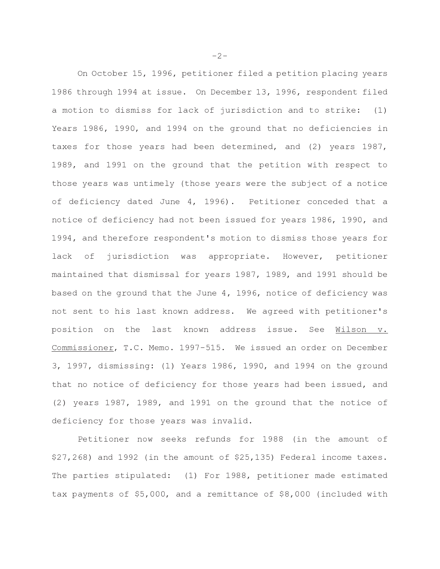On October 15, 1996, petitioner filed a petition placing years 1986 through 1994 at issue. On December 13, 1996, respondent filed a motion to dismiss for lack of jurisdiction and to strike:  $(1)$ Years 1986, 1990, and 1994 on the ground that no deficiencies in taxes for those years had been determined, and (2) years 1987, 1989, and 1991 on the ground that the petition with respect to those years was untimely (those years were the subject of a notice of deficiency dated June 4, 1996). Petitioner conceded that a notice of deficiency had not been issued for years 1986, 1990, and 1994, and therefore respondent's motion to dismiss those years for jurisdiction was appropriate. However, petitioner lack of maintained that dismissal for years 1987, 1989, and 1991 should be based on the ground that the June 4, 1996, notice of deficiency was not sent to his last known address. We agreed with petitioner's position on the last known address issue. See Wilson v. Commissioner, T.C. Memo. 1997-515. We issued an order on December 3, 1997, dismissing: (1) Years 1986, 1990, and 1994 on the ground that no notice of deficiency for those years had been issued, and (2) years 1987, 1989, and 1991 on the ground that the notice of deficiency for those years was invalid.

Petitioner now seeks refunds for 1988 (in the amount of \$27,268) and 1992 (in the amount of \$25,135) Federal income taxes. The parties stipulated: (1) For 1988, petitioner made estimated tax payments of \$5,000, and a remittance of \$8,000 (included with

 $-2-$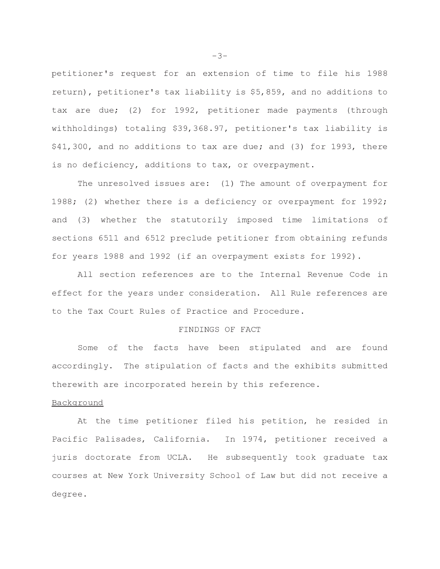petitioner's request for an extension of time to file his 1988 return), petitioner's tax liability is \$5,859, and no additions to tax are due; (2) for 1992, petitioner made payments (through withholdings) totaling \$39,368.97, petitioner's tax liability is \$41,300, and no additions to tax are due; and (3) for 1993, there is no deficiency, additions to tax, or overpayment.

The unresolved issues are: (1) The amount of overpayment for 1988; (2) whether there is a deficiency or overpayment for 1992; and (3) whether the statutorily imposed time limitations of sections 6511 and 6512 preclude petitioner from obtaining refunds for years 1988 and 1992 (if an overpayment exists for 1992).

All section references are to the Internal Revenue Code in effect for the years under consideration. All Rule references are to the Tax Court Rules of Practice and Procedure.

## FINDINGS OF FACT

Some of the facts have been stipulated and are found accordingly. The stipulation of facts and the exhibits submitted therewith are incorporated herein by this reference.

## Background

At the time petitioner filed his petition, he resided in Pacific Palisades, California. In 1974, petitioner received a juris doctorate from UCLA. He subsequently took graduate tax courses at New York University School of Law but did not receive a degree.

 $-3-$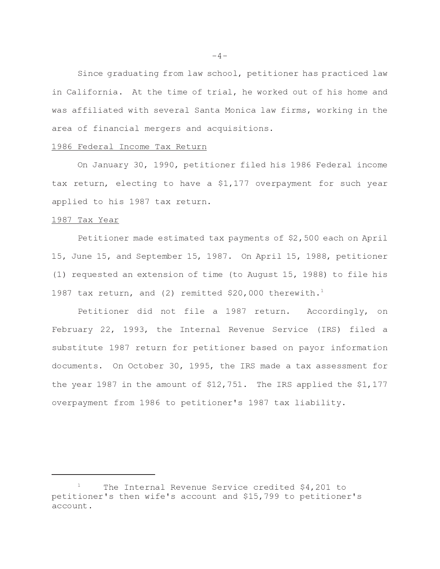Since graduating from law school, petitioner has practiced law in California. At the time of trial, he worked out of his home and was affiliated with several Santa Monica law firms, working in the area of financial mergers and acquisitions.

## 1986 Federal Income Tax Return

On January 30, 1990, petitioner filed his 1986 Federal income tax return, electing to have a \$1,177 overpayment for such year applied to his 1987 tax return.

### 1987 Tax Year

Petitioner made estimated tax payments of \$2,500 each on April 15, June 15, and September 15, 1987. On April 15, 1988, petitioner (1) requested an extension of time (to August 15, 1988) to file his 1987 tax return, and (2) remitted \$20,000 therewith.<sup>1</sup>

Petitioner did not file a 1987 return. Accordingly, on February 22, 1993, the Internal Revenue Service (IRS) filed a substitute 1987 return for petitioner based on payor information documents. On October 30, 1995, the IRS made a tax assessment for the year 1987 in the amount of \$12,751. The IRS applied the \$1,177 overpayment from 1986 to petitioner's 1987 tax liability.

 $-4-$ 

The Internal Revenue Service credited \$4,201 to petitioner's then wife's account and \$15,799 to petitioner's account.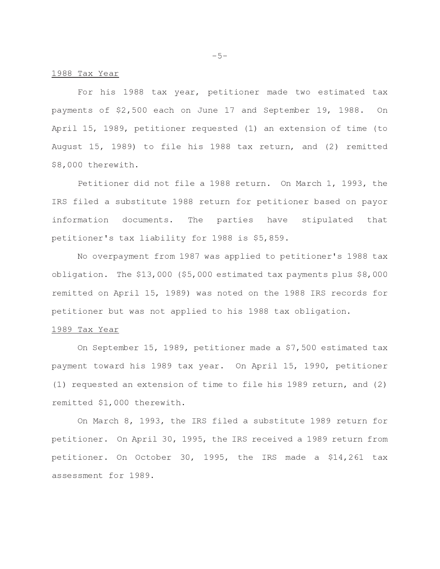#### 1988 Tax Year

For his 1988 tax year, petitioner made two estimated tax payments of \$2,500 each on June 17 and September 19, 1988. On April 15, 1989, petitioner requested (1) an extension of time (to August 15, 1989) to file his 1988 tax return, and (2) remitted \$8,000 therewith.

Petitioner did not file a 1988 return. On March 1, 1993, the IRS filed a substitute 1988 return for petitioner based on payor information documents. The parties have stipulated that petitioner's tax liability for 1988 is \$5,859.

No overpayment from 1987 was applied to petitioner's 1988 tax obligation. The \$13,000 (\$5,000 estimated tax payments plus \$8,000 remitted on April 15, 1989) was noted on the 1988 IRS records for petitioner but was not applied to his 1988 tax obligation.

### 1989 Tax Year

On September 15, 1989, petitioner made a \$7,500 estimated tax payment toward his 1989 tax year. On April 15, 1990, petitioner (1) requested an extension of time to file his 1989 return, and (2) remitted \$1,000 therewith.

On March 8, 1993, the IRS filed a substitute 1989 return for petitioner. On April 30, 1995, the IRS received a 1989 return from petitioner. On October 30, 1995, the IRS made a \$14,261 tax assessment for 1989.

 $-5-$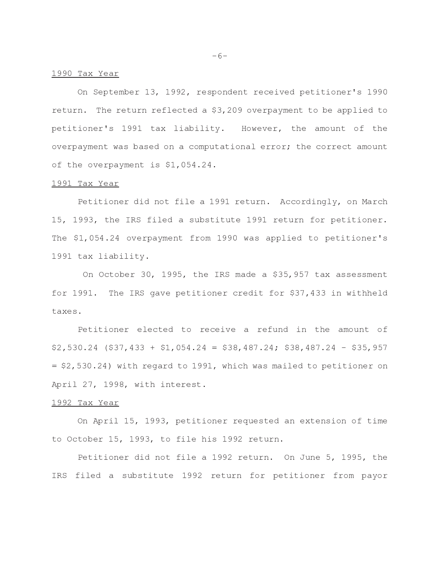#### 1990 Tax Year

On September 13, 1992, respondent received petitioner's 1990 return. The return reflected a \$3,209 overpayment to be applied to petitioner's 1991 tax liability. However, the amount of the overpayment was based on a computational error; the correct amount of the overpayment is \$1,054.24.

### 1991 Tax Year

Petitioner did not file a 1991 return. Accordingly, on March 15, 1993, the IRS filed a substitute 1991 return for petitioner. The \$1,054.24 overpayment from 1990 was applied to petitioner's 1991 tax liability.

On October 30, 1995, the IRS made a \$35,957 tax assessment for 1991. The IRS gave petitioner credit for \$37,433 in withheld taxes.

Petitioner elected to receive a refund in the amount of  $$2,530.24$  (\$37,433 + \$1,054.24 = \$38,487.24; \$38,487.24 - \$35,957  $=$  \$2,530.24) with regard to 1991, which was mailed to petitioner on April 27, 1998, with interest.

## 1992 Tax Year

On April 15, 1993, petitioner requested an extension of time to October 15, 1993, to file his 1992 return.

Petitioner did not file a 1992 return. On June 5, 1995, the IRS filed a substitute 1992 return for petitioner from payor

 $-6-$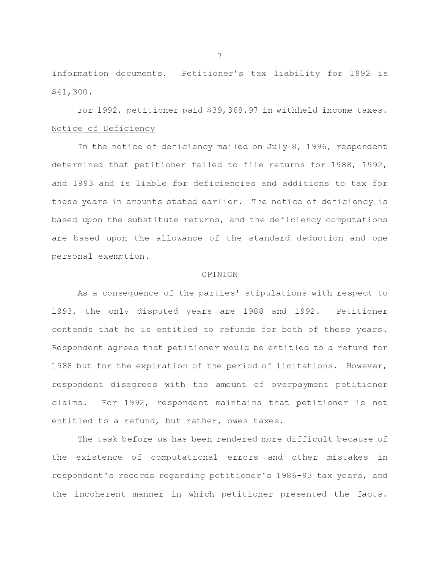information documents. Petitioner's tax liability for 1992 is \$41,300.

For 1992, petitioner paid \$39,368.97 in withheld income taxes. Notice of Deficiency

In the notice of deficiency mailed on July 8, 1996, respondent determined that petitioner failed to file returns for 1988, 1992, and 1993 and is liable for deficiencies and additions to tax for those years in amounts stated earlier. The notice of deficiency is based upon the substitute returns, and the deficiency computations are based upon the allowance of the standard deduction and one personal exemption.

### OPINION

As a consequence of the parties' stipulations with respect to 1993, the only disputed years are 1988 and 1992. Petitioner contends that he is entitled to refunds for both of these years. Respondent agrees that petitioner would be entitled to a refund for 1988 but for the expiration of the period of limitations. However, respondent disagrees with the amount of overpayment petitioner claims. For 1992, respondent maintains that petitioner is not entitled to a refund, but rather, owes taxes.

The task before us has been rendered more difficult because of the existence of computational errors and other mistakes in respondent's records regarding petitioner's 1986-93 tax years, and the incoherent manner in which petitioner presented the facts.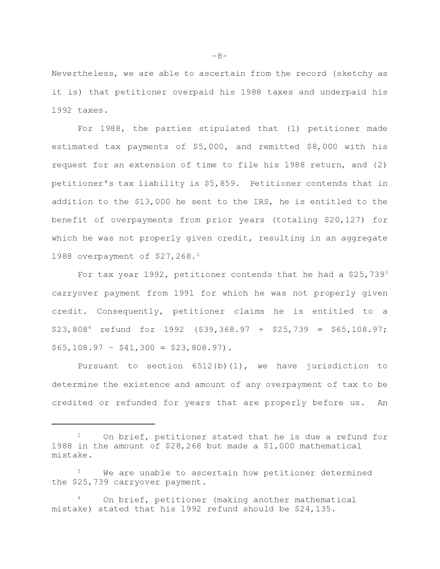Nevertheless, we are able to ascertain from the record (sketchy as it is) that petitioner overpaid his 1988 taxes and underpaid his  $1992$  taxes.

For 1988, the parties stipulated that (1) petitioner made estimated tax payments of \$5,000, and remitted \$8,000 with his request for an extension of time to file his 1988 return, and (2) petitioner's tax liability is \$5,859. Petitioner contends that in addition to the \$13,000 he sent to the IRS, he is entitled to the benefit of overpayments from prior years (totaling \$20,127) for which he was not properly given credit, resulting in an aggregate 1988 overpayment of \$27,268.<sup>2</sup>

For tax year 1992, petitioner contends that he had a  $$25,739^3$ carryover payment from 1991 for which he was not properly given credit. Consequently, petitioner claims he is entitled to a  $$23,808<sup>4</sup>$  refund for 1992 (\$39,368.97 + \$25,739 = \$65,108.97;  $$65,108.97 - $41,300 = $23,808.97$ .

Pursuant to section  $6512(b)(1)$ , we have jurisdiction to determine the existence and amount of any overpayment of tax to be credited or refunded for years that are properly before us. An

 $-8-$ 

On brief, petitioner stated that he is due a refund for 1988 in the amount of \$28,268 but made a \$1,000 mathematical mistake.

We are unable to ascertain how petitioner determined the \$25,739 carryover payment.

On brief, petitioner (making another mathematical mistake) stated that his 1992 refund should be \$24,135.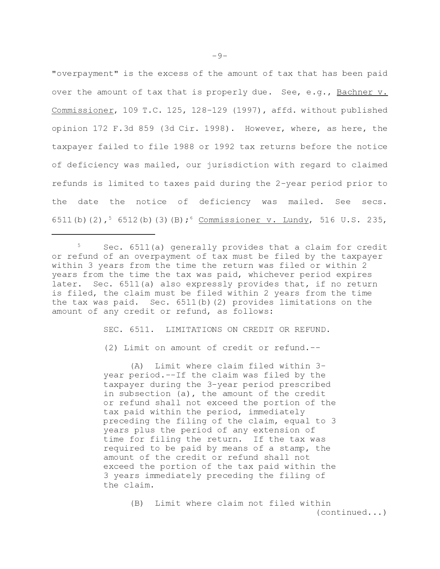"overpayment" is the excess of the amount of tax that has been paid over the amount of tax that is properly due. See, e.g., Bachner v. Commissioner, 109 T.C. 125, 128-129 (1997), affd. without published opinion 172 F.3d 859 (3d Cir. 1998). However, where, as here, the taxpayer failed to file 1988 or 1992 tax returns before the notice of deficiency was mailed, our jurisdiction with regard to claimed refunds is limited to taxes paid during the 2-year period prior to the date the notice of deficiency was mailed. See secs. 6511(b)(2),  $56512(b)(3)(B);$  Commissioner v. Lundy, 516 U.S. 235,

SEC. 6511. LIMITATIONS ON CREDIT OR REFUND.

(2) Limit on amount of credit or refund.--

(A) Limit where claim filed within 3year period.--If the claim was filed by the taxpayer during the 3-year period prescribed in subsection (a), the amount of the credit or refund shall not exceed the portion of the tax paid within the period, immediately preceding the filing of the claim, equal to 3 years plus the period of any extension of time for filing the return. If the tax was required to be paid by means of a stamp, the amount of the credit or refund shall not exceed the portion of the tax paid within the 3 years immediately preceding the filing of the claim.

> (B) Limit where claim not filed within  $(continued, \ldots)$

 $\,$  5 Sec. 6511(a) generally provides that a claim for credit or refund of an overpayment of tax must be filed by the taxpayer within 3 years from the time the return was filed or within 2 years from the time the tax was paid, whichever period expires later. Sec. 6511(a) also expressly provides that, if no return is filed, the claim must be filed within 2 years from the time the tax was paid. Sec.  $6511(b)(2)$  provides limitations on the amount of any credit or refund, as follows: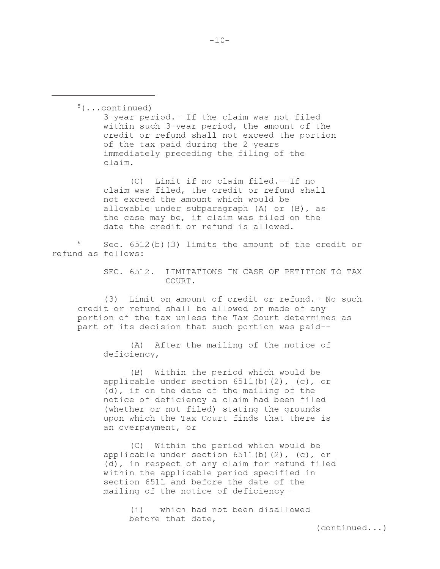$5(\ldots \text{continued})$ 3-year period.--If the claim was not filed within such 3-year period, the amount of the credit or refund shall not exceed the portion of the tax paid during the 2 years immediately preceding the filing of the claim.

(C) Limit if no claim filed.--If no claim was filed, the credit or refund shall not exceed the amount which would be allowable under subparagraph (A) or (B), as the case may be, if claim was filed on the date the credit or refund is allowed.

Sec. 6512(b)(3) limits the amount of the credit or refund as follows:

> SEC. 6512. LIMITATIONS IN CASE OF PETITION TO TAX COURT.

(3) Limit on amount of credit or refund.--No such credit or refund shall be allowed or made of any portion of the tax unless the Tax Court determines as part of its decision that such portion was paid--

(A) After the mailing of the notice of deficiency,

(B) Within the period which would be applicable under section  $6511(b)$  (2), (c), or (d), if on the date of the mailing of the notice of deficiency a claim had been filed (whether or not filed) stating the grounds upon which the Tax Court finds that there is an overpayment, or

(C) Within the period which would be applicable under section  $6511(b)$  (2), (c), or (d), in respect of any claim for refund filed within the applicable period specified in section 6511 and before the date of the mailing of the notice of deficiency--

> which had not been disallowed  $(i)$ before that date,

> > $(continued...)$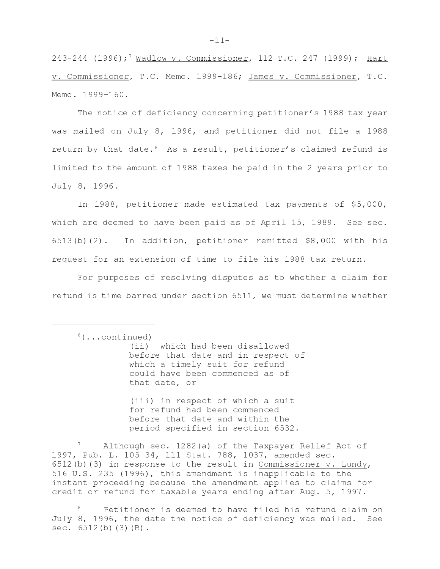243-244 (1996);<sup>7</sup> Wadlow v. Commissioner, 112 T.C. 247 (1999); Hart v. Commissioner, T.C. Memo. 1999-186; James v. Commissioner, T.C. Memo, 1999-160.

The notice of deficiency concerning petitioner's 1988 tax year was mailed on July 8, 1996, and petitioner did not file a 1988 return by that date.<sup>8</sup> As a result, petitioner's claimed refund is limited to the amount of 1988 taxes he paid in the 2 years prior to July 8, 1996.

In 1988, petitioner made estimated tax payments of \$5,000, which are deemed to have been paid as of April 15, 1989. See sec. 6513(b)(2). In addition, petitioner remitted \$8,000 with his request for an extension of time to file his 1988 tax return.

For purposes of resolving disputes as to whether a claim for refund is time barred under section 6511, we must determine whether

(ii) which had been disallowed before that date and in respect of which a timely suit for refund could have been commenced as of that date, or

(iii) in respect of which a suit for refund had been commenced before that date and within the period specified in section 6532.

Although sec. 1282(a) of the Taxpayer Relief Act of 1997, Pub. L. 105-34, 111 Stat. 788, 1037, amended sec. 6512(b)(3) in response to the result in Commissioner v. Lundy, 516 U.S. 235 (1996), this amendment is inapplicable to the instant proceeding because the amendment applies to claims for credit or refund for taxable years ending after Aug. 5, 1997.

Petitioner is deemed to have filed his refund claim on July 8, 1996, the date the notice of deficiency was mailed. See sec.  $6512(b)(3)(B)$ .

 $6(\ldots \text{continued})$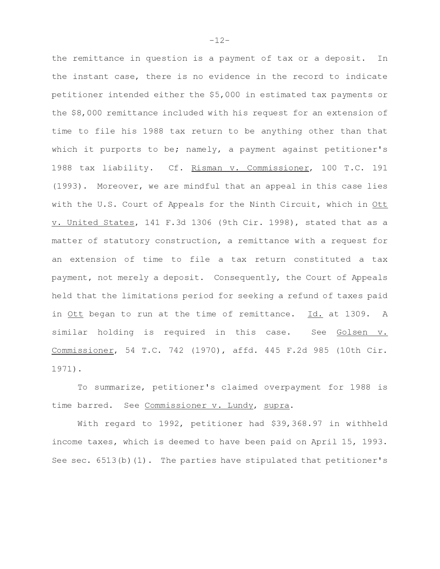the remittance in question is a payment of tax or a deposit. In the instant case, there is no evidence in the record to indicate petitioner intended either the \$5,000 in estimated tax payments or the \$8,000 remittance included with his request for an extension of time to file his 1988 tax return to be anything other than that which it purports to be; namely, a payment against petitioner's 1988 tax liability. Cf. Risman v. Commissioner, 100 T.C. 191 (1993). Moreover, we are mindful that an appeal in this case lies with the U.S. Court of Appeals for the Ninth Circuit, which in Ott v. United States, 141 F.3d 1306 (9th Cir. 1998), stated that as a matter of statutory construction, a remittance with a request for an extension of time to file a tax return constituted a tax payment, not merely a deposit. Consequently, the Court of Appeals held that the limitations period for seeking a refund of taxes paid in Ott began to run at the time of remittance. Id. at 1309. A similar holding is required in this case. See Golsen v. Commissioner, 54 T.C. 742 (1970), affd. 445 F.2d 985 (10th Cir.  $1971$ .

To summarize, petitioner's claimed overpayment for 1988 is time barred. See Commissioner v. Lundy, supra.

With regard to 1992, petitioner had \$39,368.97 in withheld income taxes, which is deemed to have been paid on April 15, 1993. See sec. 6513(b) (1). The parties have stipulated that petitioner's

 $-12-$